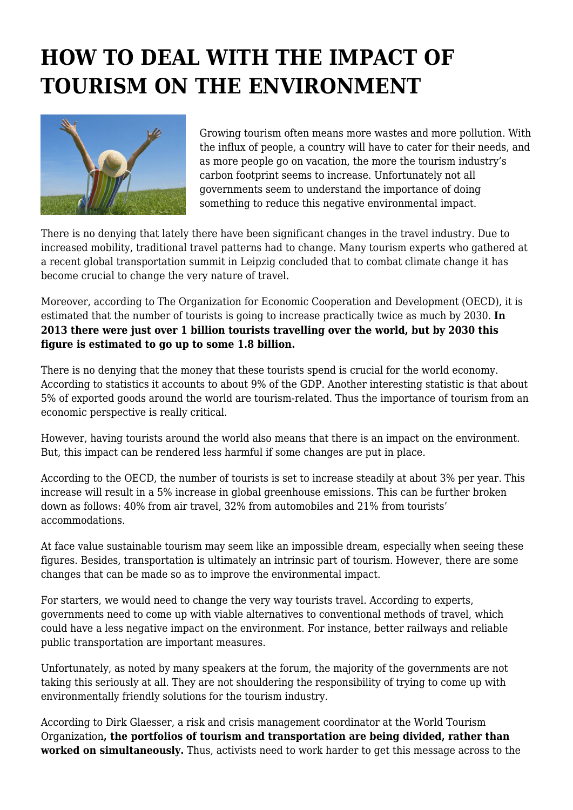## **HOW TO DEAL WITH THE IMPACT OF TOURISM ON THE ENVIRONMENT**



Growing tourism often means more wastes and more pollution. With the influx of people, a country will have to cater for their needs, and as more people go on vacation, the more the tourism industry's carbon footprint seems to increase. Unfortunately not all governments seem to understand the importance of doing something to reduce this negative environmental impact.

There is no denying that lately there have been significant changes in the travel industry. Due to increased mobility, traditional travel patterns had to change. Many tourism experts who gathered at a recent global transportation summit in Leipzig concluded that to combat climate change it has become crucial to change the very nature of travel.

Moreover, according to The Organization for Economic Cooperation and Development (OECD), it is estimated that the number of tourists is going to increase practically twice as much by 2030. **In 2013 there were just over 1 billion tourists travelling over the world, but by 2030 this figure is estimated to go up to some 1.8 billion.**

There is no denying that the money that these tourists spend is crucial for the world economy. According to statistics it accounts to about 9% of the GDP. Another interesting statistic is that about 5% of exported goods around the world are tourism-related. Thus the importance of tourism from an economic perspective is really critical.

However, having tourists around the world also means that there is an impact on the environment. But, this impact can be rendered less harmful if some changes are put in place.

According to the OECD, the number of tourists is set to increase steadily at about 3% per year. This increase will result in a 5% increase in global greenhouse emissions. This can be further broken down as follows: 40% from air travel, 32% from automobiles and 21% from tourists' accommodations.

At face value sustainable tourism may seem like an impossible dream, especially when seeing these figures. Besides, transportation is ultimately an intrinsic part of tourism. However, there are some changes that can be made so as to improve the environmental impact.

For starters, we would need to change the very way tourists travel. According to experts, governments need to come up with viable alternatives to conventional methods of travel, which could have a less negative impact on the environment. For instance, better railways and reliable public transportation are important measures.

Unfortunately, as noted by many speakers at the forum, the majority of the governments are not taking this seriously at all. They are not shouldering the responsibility of trying to come up with environmentally friendly solutions for the tourism industry.

According to Dirk Glaesser, a risk and crisis management coordinator at the World Tourism Organization**, the portfolios of tourism and transportation are being divided, rather than worked on simultaneously.** Thus, activists need to work harder to get this message across to the